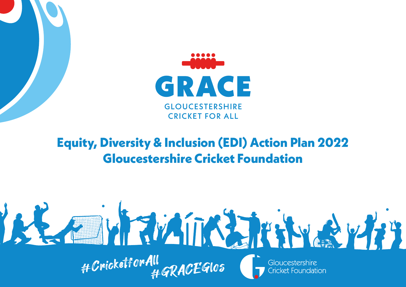

### **Equity, Diversity & Inclusion (EDI) Action Plan 2022 Gloucestershire Cricket Foundation**

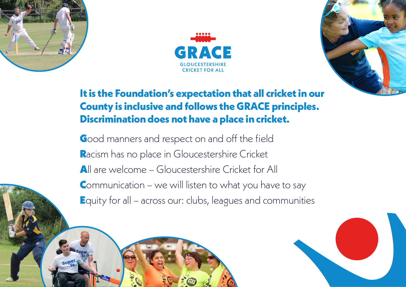





### **It is the Foundation's expectation that all cricket in our County is inclusive and follows the GRACE principles. Discrimination does not have a place in cricket.**

Good manners and respect on and off the field Racism has no place in Gloucestershire Cricket All are welcome - Gloucestershire Cricket for All Communication – we will listen to what you have to say Equity for all – across our: clubs, leagues and communities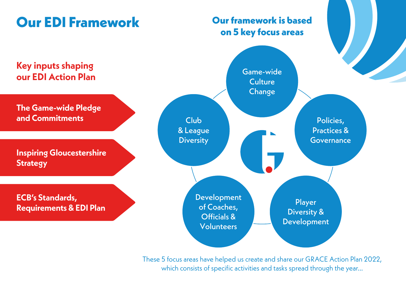### **Our EDI Framework**

#### **Our framework is based on 5 key focus areas**



These 5 focus areas have helped us create and share our GRACE Action Plan 2022, which consists of specific activities and tasks spread through the year...